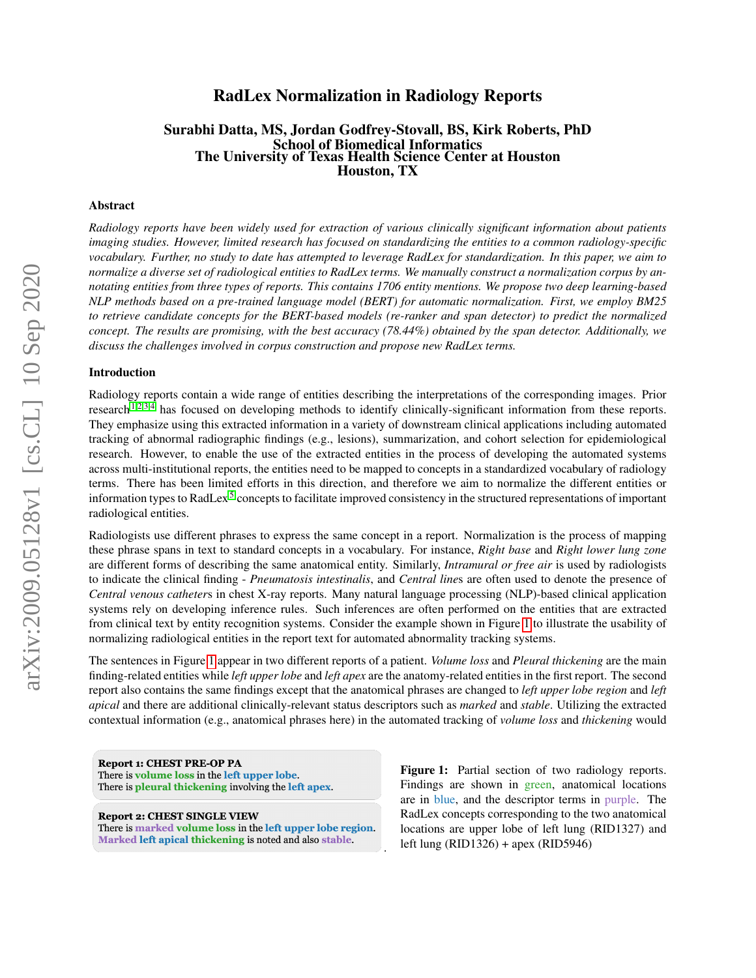# arXiv:2009.05128v1 [cs.CL] 10 Sep 2020 arXiv:2009.05128v1 [cs.CL] 10 Sep 2020

# RadLex Normalization in Radiology Reports

# Surabhi Datta, MS, Jordan Godfrey-Stovall, BS, Kirk Roberts, PhD School of Biomedical Informatics The University of Texas Health Science Center at Houston Houston, TX

### Abstract

*Radiology reports have been widely used for extraction of various clinically significant information about patients imaging studies. However, limited research has focused on standardizing the entities to a common radiology-specific vocabulary. Further, no study to date has attempted to leverage RadLex for standardization. In this paper, we aim to normalize a diverse set of radiological entities to RadLex terms. We manually construct a normalization corpus by annotating entities from three types of reports. This contains 1706 entity mentions. We propose two deep learning-based NLP methods based on a pre-trained language model (BERT) for automatic normalization. First, we employ BM25 to retrieve candidate concepts for the BERT-based models (re-ranker and span detector) to predict the normalized concept. The results are promising, with the best accuracy (78.44%) obtained by the span detector. Additionally, we discuss the challenges involved in corpus construction and propose new RadLex terms.*

### Introduction

Radiology reports contain a wide range of entities describing the interpretations of the corresponding images. Prior research<sup>[1](#page-8-0)[,2,](#page-8-1)[3,](#page-8-2)[4](#page-8-3)</sup> has focused on developing methods to identify clinically-significant information from these reports. They emphasize using this extracted information in a variety of downstream clinical applications including automated tracking of abnormal radiographic findings (e.g., lesions), summarization, and cohort selection for epidemiological research. However, to enable the use of the extracted entities in the process of developing the automated systems across multi-institutional reports, the entities need to be mapped to concepts in a standardized vocabulary of radiology terms. There has been limited efforts in this direction, and therefore we aim to normalize the different entities or information types to RadLex<sup>[5](#page-9-0)</sup> concepts to facilitate improved consistency in the structured representations of important radiological entities.

Radiologists use different phrases to express the same concept in a report. Normalization is the process of mapping these phrase spans in text to standard concepts in a vocabulary. For instance, *Right base* and *Right lower lung zone* are different forms of describing the same anatomical entity. Similarly, *Intramural or free air* is used by radiologists to indicate the clinical finding - *Pneumatosis intestinalis*, and *Central line*s are often used to denote the presence of *Central venous catheter*s in chest X-ray reports. Many natural language processing (NLP)-based clinical application systems rely on developing inference rules. Such inferences are often performed on the entities that are extracted from clinical text by entity recognition systems. Consider the example shown in Figure [1](#page-0-0) to illustrate the usability of normalizing radiological entities in the report text for automated abnormality tracking systems.

The sentences in Figure [1](#page-0-0) appear in two different reports of a patient. *Volume loss* and *Pleural thickening* are the main finding-related entities while *left upper lobe* and *left apex* are the anatomy-related entities in the first report. The second report also contains the same findings except that the anatomical phrases are changed to *left upper lobe region* and *left apical* and there are additional clinically-relevant status descriptors such as *marked* and *stable*. Utilizing the extracted contextual information (e.g., anatomical phrases here) in the automated tracking of *volume loss* and *thickening* would

.

<span id="page-0-0"></span>**Report 1: CHEST PRE-OP PA** There is volume loss in the left upper lobe. There is pleural thickening involving the left apex.

**Report 2: CHEST SINGLE VIEW** There is marked volume loss in the left upper lobe region. Marked left apical thickening is noted and also stable.

Figure 1: Partial section of two radiology reports. Findings are shown in green, anatomical locations are in blue, and the descriptor terms in purple. The RadLex concepts corresponding to the two anatomical locations are upper lobe of left lung (RID1327) and left lung (RID1326) + apex (RID5946)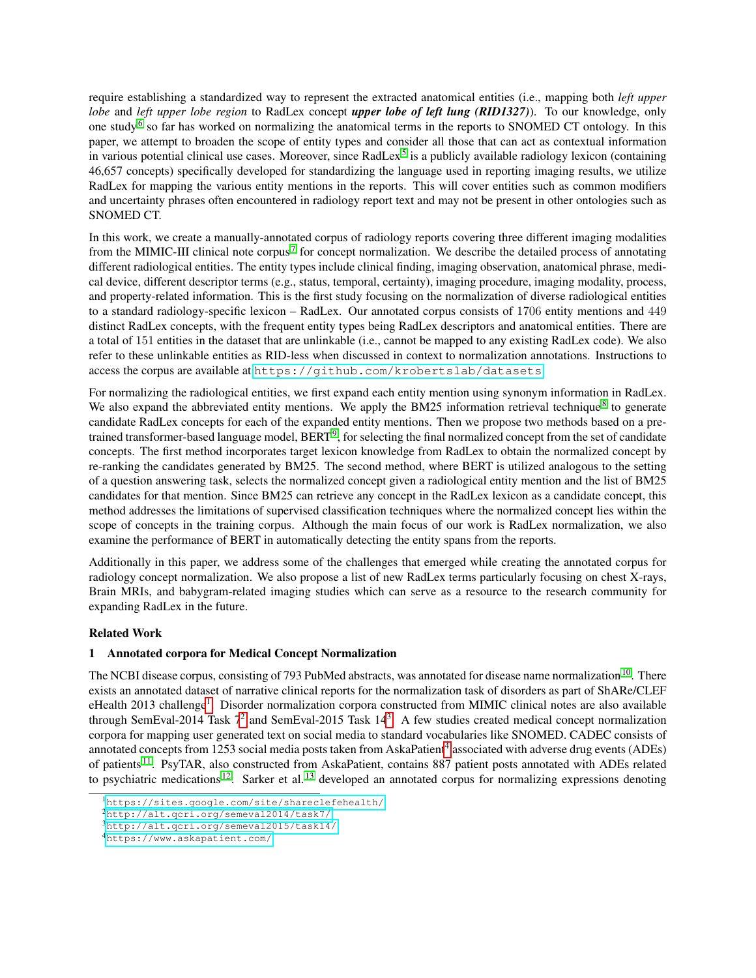require establishing a standardized way to represent the extracted anatomical entities (i.e., mapping both *left upper lobe* and *left upper lobe region* to RadLex concept *upper lobe of left lung (RID1327)*). To our knowledge, only one study<sup>[6](#page-9-1)</sup> so far has worked on normalizing the anatomical terms in the reports to SNOMED CT ontology. In this paper, we attempt to broaden the scope of entity types and consider all those that can act as contextual information in various potential clinical use cases. Moreover, since RadLex<sup>[5](#page-9-0)</sup> is a publicly available radiology lexicon (containing 46,657 concepts) specifically developed for standardizing the language used in reporting imaging results, we utilize RadLex for mapping the various entity mentions in the reports. This will cover entities such as common modifiers and uncertainty phrases often encountered in radiology report text and may not be present in other ontologies such as SNOMED CT.

In this work, we create a manually-annotated corpus of radiology reports covering three different imaging modalities from the MIMIC-III clinical note corpus<sup>[7](#page-9-2)</sup> for concept normalization. We describe the detailed process of annotating different radiological entities. The entity types include clinical finding, imaging observation, anatomical phrase, medical device, different descriptor terms (e.g., status, temporal, certainty), imaging procedure, imaging modality, process, and property-related information. This is the first study focusing on the normalization of diverse radiological entities to a standard radiology-specific lexicon – RadLex. Our annotated corpus consists of 1706 entity mentions and 449 distinct RadLex concepts, with the frequent entity types being RadLex descriptors and anatomical entities. There are a total of 151 entities in the dataset that are unlinkable (i.e., cannot be mapped to any existing RadLex code). We also refer to these unlinkable entities as RID-less when discussed in context to normalization annotations. Instructions to access the corpus are available at <https://github.com/krobertslab/datasets>.

For normalizing the radiological entities, we first expand each entity mention using synonym information in RadLex. We also expand the abbreviated entity mentions. We apply the BM25 information retrieval technique<sup>[8](#page-9-3)</sup> to generate candidate RadLex concepts for each of the expanded entity mentions. Then we propose two methods based on a pretrained transformer-based language model,  $BERT^9$  $BERT^9$ , for selecting the final normalized concept from the set of candidate concepts. The first method incorporates target lexicon knowledge from RadLex to obtain the normalized concept by re-ranking the candidates generated by BM25. The second method, where BERT is utilized analogous to the setting of a question answering task, selects the normalized concept given a radiological entity mention and the list of BM25 candidates for that mention. Since BM25 can retrieve any concept in the RadLex lexicon as a candidate concept, this method addresses the limitations of supervised classification techniques where the normalized concept lies within the scope of concepts in the training corpus. Although the main focus of our work is RadLex normalization, we also examine the performance of BERT in automatically detecting the entity spans from the reports.

Additionally in this paper, we address some of the challenges that emerged while creating the annotated corpus for radiology concept normalization. We also propose a list of new RadLex terms particularly focusing on chest X-rays, Brain MRIs, and babygram-related imaging studies which can serve as a resource to the research community for expanding RadLex in the future.

# Related Work

# 1 Annotated corpora for Medical Concept Normalization

The NCBI disease corpus, consisting of 793 PubMed abstracts, was annotated for disease name normalization<sup>[10](#page-9-5)</sup>. There exists an annotated dataset of narrative clinical reports for the normalization task of disorders as part of ShARe/CLEF eHealth 20[1](#page-1-0)3 challenge<sup>1</sup>. Disorder normalization corpora constructed from MIMIC clinical notes are also available through SemEval-[2](#page-1-1)014 Task 7<sup>2</sup> and SemEval-2015 Task 14<sup>[3](#page-1-2)</sup>. A few studies created medical concept normalization corpora for mapping user generated text on social media to standard vocabularies like SNOMED. CADEC consists of annotated concepts from 1253 social media posts taken from AskaPatient<sup>[4](#page-1-3)</sup> associated with adverse drug events (ADEs) of patients [11](#page-9-6). PsyTAR, also constructed from AskaPatient, contains 887 patient posts annotated with ADEs related to psychiatric medications  $12$ . Sarker et al.  $13$  developed an annotated corpus for normalizing expressions denoting

<span id="page-1-0"></span><sup>1</sup><https://sites.google.com/site/shareclefehealth/>

<span id="page-1-1"></span><sup>2</sup><http://alt.qcri.org/semeval2014/task7/>

<span id="page-1-2"></span><sup>3</sup><http://alt.qcri.org/semeval2015/task14/>

<span id="page-1-3"></span><sup>4</sup><https://www.askapatient.com/>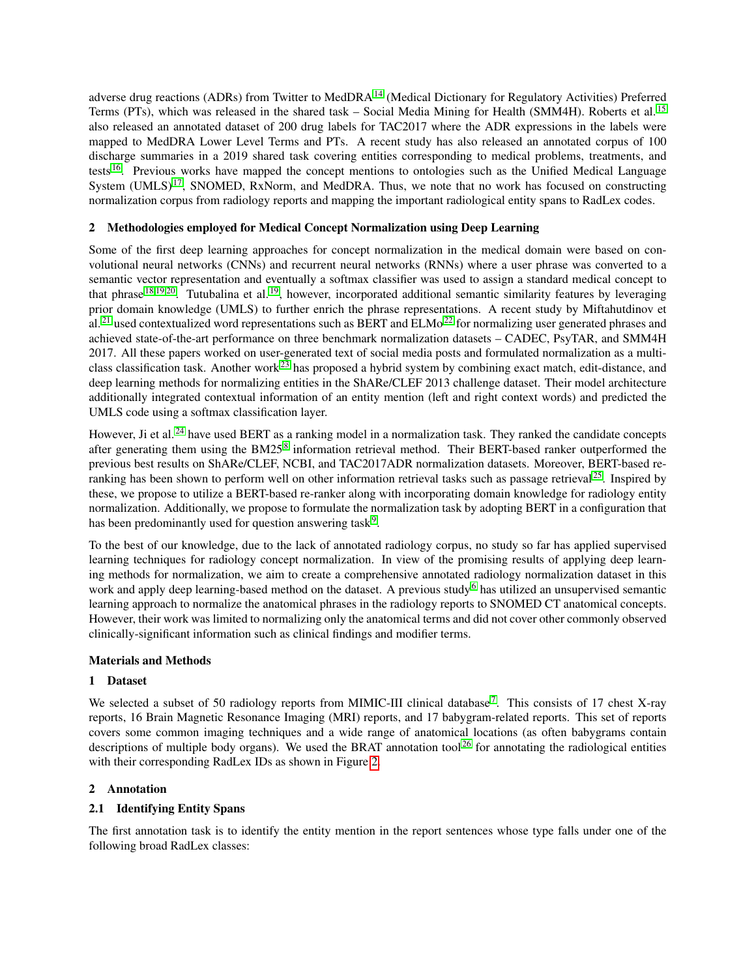adverse drug reactions (ADRs) from Twitter to MedDRA<sup>[14](#page-9-9)</sup> (Medical Dictionary for Regulatory Activities) Preferred Terms (PTs), which was released in the shared task – Social Media Mining for Health (SMM4H). Roberts et al. [15](#page-9-10) also released an annotated dataset of 200 drug labels for TAC2017 where the ADR expressions in the labels were mapped to MedDRA Lower Level Terms and PTs. A recent study has also released an annotated corpus of 100 discharge summaries in a 2019 shared task covering entities corresponding to medical problems, treatments, and tests [16](#page-9-11). Previous works have mapped the concept mentions to ontologies such as the Unified Medical Language System (UMLS)<sup>[17](#page-9-12)</sup>, SNOMED, RxNorm, and MedDRA. Thus, we note that no work has focused on constructing normalization corpus from radiology reports and mapping the important radiological entity spans to RadLex codes.

# 2 Methodologies employed for Medical Concept Normalization using Deep Learning

Some of the first deep learning approaches for concept normalization in the medical domain were based on convolutional neural networks (CNNs) and recurrent neural networks (RNNs) where a user phrase was converted to a semantic vector representation and eventually a softmax classifier was used to assign a standard medical concept to that phrase [18](#page-9-13)[,19](#page-9-14)[,20](#page-9-15). Tutubalina et al. [19](#page-9-14), however, incorporated additional semantic similarity features by leveraging prior domain knowledge (UMLS) to further enrich the phrase representations. A recent study by Miftahutdinov et al. <sup>[21](#page-9-16)</sup> used contextualized word representations such as BERT and ELMo<sup>[22](#page-9-17)</sup> for normalizing user generated phrases and achieved state-of-the-art performance on three benchmark normalization datasets – CADEC, PsyTAR, and SMM4H 2017. All these papers worked on user-generated text of social media posts and formulated normalization as a multi-class classification task. Another work<sup>[23](#page-9-18)</sup> has proposed a hybrid system by combining exact match, edit-distance, and deep learning methods for normalizing entities in the ShARe/CLEF 2013 challenge dataset. Their model architecture additionally integrated contextual information of an entity mention (left and right context words) and predicted the UMLS code using a softmax classification layer.

However, Ji et al.<sup>[24](#page-9-19)</sup> have used BERT as a ranking model in a normalization task. They ranked the candidate concepts after generating them using the BM25<sup>[8](#page-9-3)</sup> information retrieval method. Their BERT-based ranker outperformed the previous best results on ShARe/CLEF, NCBI, and TAC2017ADR normalization datasets. Moreover, BERT-based re-ranking has been shown to perform well on other information retrieval tasks such as passage retrieval<sup>[25](#page-9-20)</sup>. Inspired by these, we propose to utilize a BERT-based re-ranker along with incorporating domain knowledge for radiology entity normalization. Additionally, we propose to formulate the normalization task by adopting BERT in a configuration that has been predominantly used for question answering task<sup>[9](#page-9-4)</sup>.

To the best of our knowledge, due to the lack of annotated radiology corpus, no study so far has applied supervised learning techniques for radiology concept normalization. In view of the promising results of applying deep learning methods for normalization, we aim to create a comprehensive annotated radiology normalization dataset in this work and apply deep learning-based method on the dataset. A previous study<sup>[6](#page-9-1)</sup> has utilized an unsupervised semantic learning approach to normalize the anatomical phrases in the radiology reports to SNOMED CT anatomical concepts. However, their work was limited to normalizing only the anatomical terms and did not cover other commonly observed clinically-significant information such as clinical findings and modifier terms.

# Materials and Methods

# 1 Dataset

We selected a subset of 50 radiology reports from MIMIC-III clinical database<sup>[7](#page-9-2)</sup>. This consists of 17 chest X-ray reports, 16 Brain Magnetic Resonance Imaging (MRI) reports, and 17 babygram-related reports. This set of reports covers some common imaging techniques and a wide range of anatomical locations (as often babygrams contain descriptions of multiple body organs). We used the BRAT annotation tool<sup>[26](#page-9-21)</sup> for annotating the radiological entities with their corresponding RadLex IDs as shown in Figure [2.](#page-3-0)

# 2 Annotation

# 2.1 Identifying Entity Spans

The first annotation task is to identify the entity mention in the report sentences whose type falls under one of the following broad RadLex classes: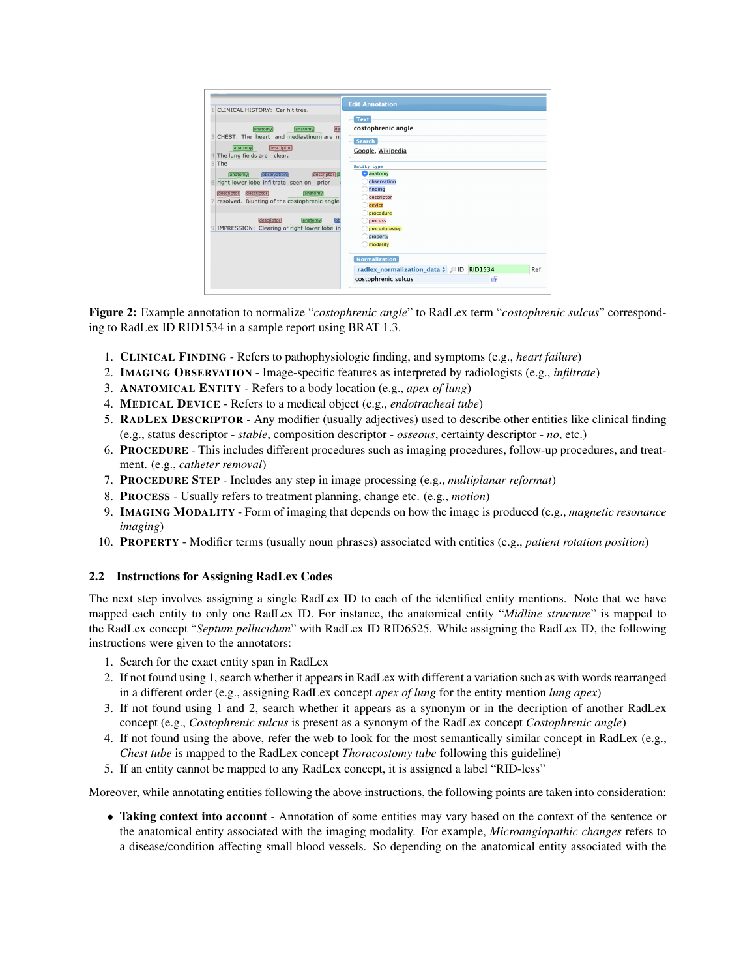<span id="page-3-0"></span>

| CLINICAL HISTORY: Car hit tree.                                                                                                                                                                                                                                                                                                                                                                                                                       | <b>Edit Annotation</b>                                                                                                                                                                                                                                                                                                            |
|-------------------------------------------------------------------------------------------------------------------------------------------------------------------------------------------------------------------------------------------------------------------------------------------------------------------------------------------------------------------------------------------------------------------------------------------------------|-----------------------------------------------------------------------------------------------------------------------------------------------------------------------------------------------------------------------------------------------------------------------------------------------------------------------------------|
| de<br>anatomy<br>anatomy<br>CHEST: The heart and mediastinum are no<br>$\mathbb{R}$<br>anatomy<br>descriptor<br>The lung fields are clear.<br>4<br>5 <sup>1</sup><br>The<br>descriptor a<br>observation<br>anatomy<br>right lower lobe infiltrate seen on prior<br>6<br>descriptor<br>descriptor<br>anatomy<br>resolved. Blunting of the costophrenic angle<br><b>OD</b><br>descriptor<br>anatomy<br>IMPRESSION: Clearing of right lower lobe in<br>9 | <b>Text</b><br>costophrenic angle<br><b>Search</b><br>Google, Wikipedia<br>Entity type<br>anatomy<br>observation<br>finding<br>descriptor<br>device<br>procedure<br>process<br>procedurestep<br>property<br>modality<br><b>Normalization</b><br>radlex normalization data $\phi$ OID: RID1534<br>Ref:<br>costophrenic sulcus<br>兩 |

Figure 2: Example annotation to normalize "*costophrenic angle*" to RadLex term "*costophrenic sulcus*" corresponding to RadLex ID RID1534 in a sample report using BRAT 1.3.

- 1. CLINICAL FINDING Refers to pathophysiologic finding, and symptoms (e.g., *heart failure*)
- 2. IMAGING OBSERVATION Image-specific features as interpreted by radiologists (e.g., *infiltrate*)
- 3. ANATOMICAL ENTITY Refers to a body location (e.g., *apex of lung*)
- 4. MEDICAL DEVICE Refers to a medical object (e.g., *endotracheal tube*)
- 5. RADLEX DESCRIPTOR Any modifier (usually adjectives) used to describe other entities like clinical finding (e.g., status descriptor - *stable*, composition descriptor - *osseous*, certainty descriptor - *no*, etc.)
- 6. PROCEDURE This includes different procedures such as imaging procedures, follow-up procedures, and treatment. (e.g., *catheter removal*)
- 7. PROCEDURE STEP Includes any step in image processing (e.g., *multiplanar reformat*)
- 8. PROCESS Usually refers to treatment planning, change etc. (e.g., *motion*)
- 9. IMAGING MODALITY Form of imaging that depends on how the image is produced (e.g., *magnetic resonance imaging*)
- 10. PROPERTY Modifier terms (usually noun phrases) associated with entities (e.g., *patient rotation position*)

# 2.2 Instructions for Assigning RadLex Codes

The next step involves assigning a single RadLex ID to each of the identified entity mentions. Note that we have mapped each entity to only one RadLex ID. For instance, the anatomical entity "*Midline structure*" is mapped to the RadLex concept "*Septum pellucidum*" with RadLex ID RID6525. While assigning the RadLex ID, the following instructions were given to the annotators:

- 1. Search for the exact entity span in RadLex
- 2. If not found using 1, search whether it appears in RadLex with different a variation such as with words rearranged in a different order (e.g., assigning RadLex concept *apex of lung* for the entity mention *lung apex*)
- 3. If not found using 1 and 2, search whether it appears as a synonym or in the decription of another RadLex concept (e.g., *Costophrenic sulcus* is present as a synonym of the RadLex concept *Costophrenic angle*)
- 4. If not found using the above, refer the web to look for the most semantically similar concept in RadLex (e.g., *Chest tube* is mapped to the RadLex concept *Thoracostomy tube* following this guideline)
- 5. If an entity cannot be mapped to any RadLex concept, it is assigned a label "RID-less"

Moreover, while annotating entities following the above instructions, the following points are taken into consideration:

• Taking context into account - Annotation of some entities may vary based on the context of the sentence or the anatomical entity associated with the imaging modality. For example, *Microangiopathic changes* refers to a disease/condition affecting small blood vessels. So depending on the anatomical entity associated with the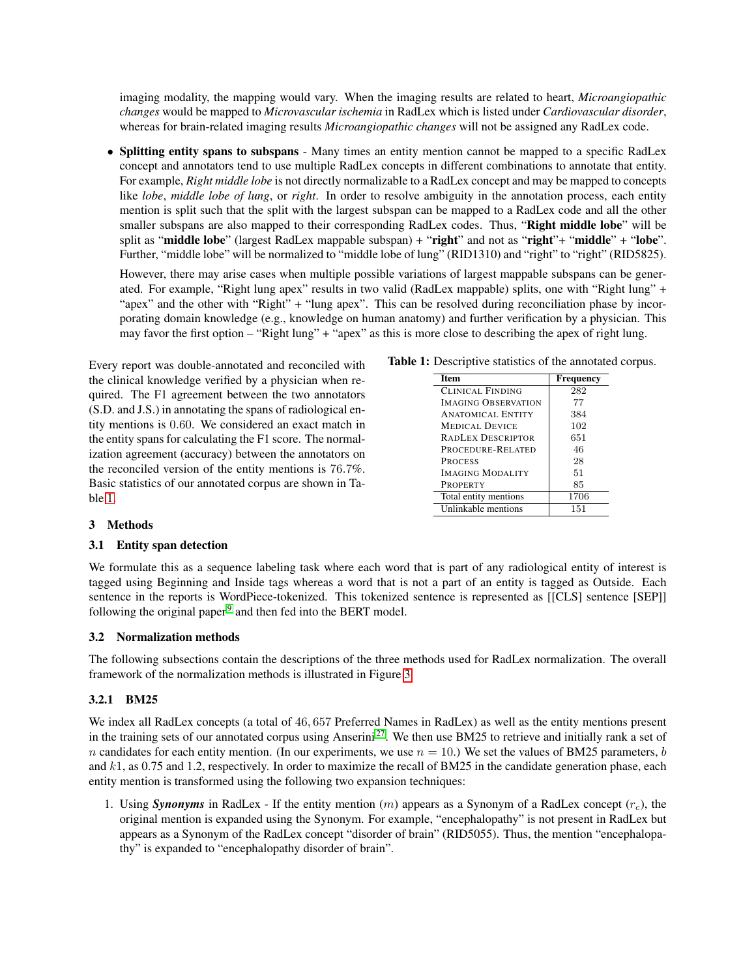imaging modality, the mapping would vary. When the imaging results are related to heart, *Microangiopathic changes* would be mapped to *Microvascular ischemia* in RadLex which is listed under *Cardiovascular disorder*, whereas for brain-related imaging results *Microangiopathic changes* will not be assigned any RadLex code.

• Splitting entity spans to subspans - Many times an entity mention cannot be mapped to a specific RadLex concept and annotators tend to use multiple RadLex concepts in different combinations to annotate that entity. For example, *Right middle lobe* is not directly normalizable to a RadLex concept and may be mapped to concepts like *lobe*, *middle lobe of lung*, or *right*. In order to resolve ambiguity in the annotation process, each entity mention is split such that the split with the largest subspan can be mapped to a RadLex code and all the other smaller subspans are also mapped to their corresponding RadLex codes. Thus, "Right middle lobe" will be split as "middle lobe" (largest RadLex mappable subspan) + "right" and not as "right"+ "middle" + "lobe". Further, "middle lobe" will be normalized to "middle lobe of lung" (RID1310) and "right" to "right" (RID5825).

However, there may arise cases when multiple possible variations of largest mappable subspans can be generated. For example, "Right lung apex" results in two valid (RadLex mappable) splits, one with "Right lung" + "apex" and the other with "Right" + "lung apex". This can be resolved during reconciliation phase by incorporating domain knowledge (e.g., knowledge on human anatomy) and further verification by a physician. This may favor the first option – "Right lung" + "apex" as this is more close to describing the apex of right lung.

Every report was double-annotated and reconciled with the clinical knowledge verified by a physician when required. The F1 agreement between the two annotators (S.D. and J.S.) in annotating the spans of radiological entity mentions is 0.60. We considered an exact match in the entity spans for calculating the F1 score. The normalization agreement (accuracy) between the annotators on the reconciled version of the entity mentions is 76.7%. Basic statistics of our annotated corpus are shown in Table [1.](#page-4-0)

<span id="page-4-0"></span>

| <b>Item</b>                | <b>Frequency</b> |
|----------------------------|------------------|
| CLINICAL FINDING           | 282              |
| <b>IMAGING OBSERVATION</b> | 77               |
| <b>ANATOMICAL ENTITY</b>   | 384              |
| <b>MEDICAL DEVICE</b>      | 102              |
| <b>RADLEX DESCRIPTOR</b>   | 651              |
| PROCEDURE-RELATED          | 46               |
| <b>PROCESS</b>             | 28               |
| <b>IMAGING MODALITY</b>    | 51               |
| <b>PROPERTY</b>            | 85               |
| Total entity mentions      | 1706             |
| Unlinkable mentions        | 151              |

# 3 Methods

# <span id="page-4-1"></span>3.1 Entity span detection

We formulate this as a sequence labeling task where each word that is part of any radiological entity of interest is tagged using Beginning and Inside tags whereas a word that is not a part of an entity is tagged as Outside. Each sentence in the reports is WordPiece-tokenized. This tokenized sentence is represented as [[CLS] sentence [SEP]] following the original paper<sup>[9](#page-9-4)</sup> and then fed into the BERT model.

# 3.2 Normalization methods

The following subsections contain the descriptions of the three methods used for RadLex normalization. The overall framework of the normalization methods is illustrated in Figure [3.](#page-5-0)

# 3.2.1 BM25

We index all RadLex concepts (a total of 46, 657 Preferred Names in RadLex) as well as the entity mentions present in the training sets of our annotated corpus using Anserini [27](#page-9-22). We then use BM25 to retrieve and initially rank a set of n candidates for each entity mention. (In our experiments, we use  $n = 10$ .) We set the values of BM25 parameters, b and k1, as 0.75 and 1.2, respectively. In order to maximize the recall of BM25 in the candidate generation phase, each entity mention is transformed using the following two expansion techniques:

1. Using *Synonyms* in RadLex - If the entity mention  $(m)$  appears as a Synonym of a RadLex concept  $(r_c)$ , the original mention is expanded using the Synonym. For example, "encephalopathy" is not present in RadLex but appears as a Synonym of the RadLex concept "disorder of brain" (RID5055). Thus, the mention "encephalopathy" is expanded to "encephalopathy disorder of brain".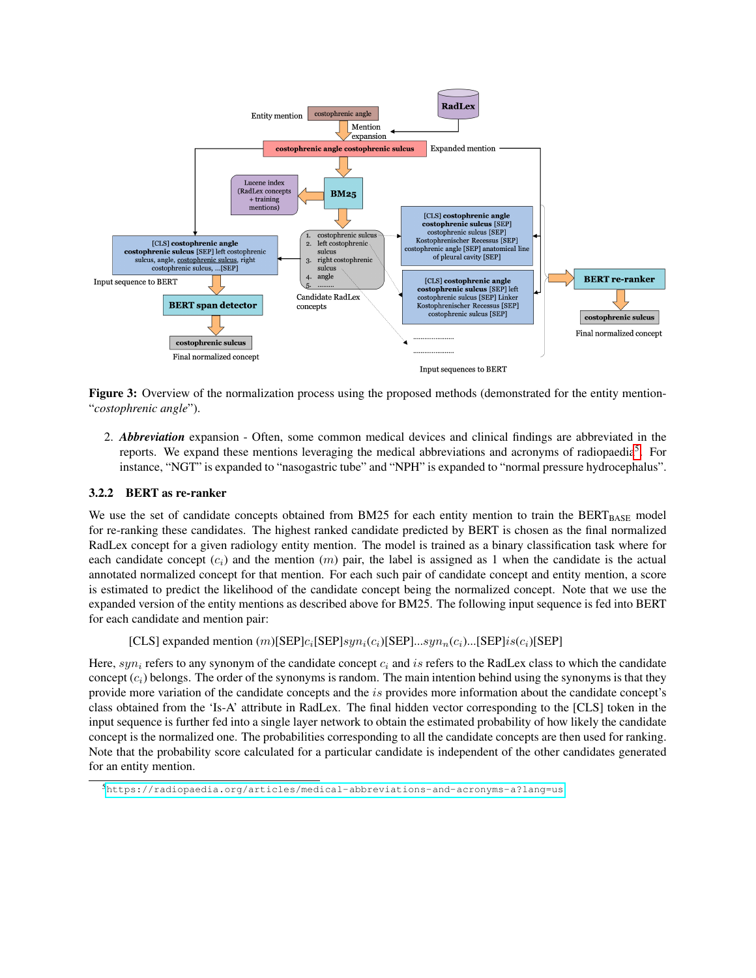<span id="page-5-0"></span>

Figure 3: Overview of the normalization process using the proposed methods (demonstrated for the entity mention- "*costophrenic angle*").

2. *Abbreviation* expansion - Often, some common medical devices and clinical findings are abbreviated in the reports. We expand these mentions leveraging the medical abbreviations and acronyms of radiopaedia<sup>[5](#page-5-1)</sup>. For instance, "NGT" is expanded to "nasogastric tube" and "NPH" is expanded to "normal pressure hydrocephalus".

# 3.2.2 BERT as re-ranker

We use the set of candidate concepts obtained from BM25 for each entity mention to train the BERT $_{\text{BASE}}$  model for re-ranking these candidates. The highest ranked candidate predicted by BERT is chosen as the final normalized RadLex concept for a given radiology entity mention. The model is trained as a binary classification task where for each candidate concept  $(c_i)$  and the mention  $(m)$  pair, the label is assigned as 1 when the candidate is the actual annotated normalized concept for that mention. For each such pair of candidate concept and entity mention, a score is estimated to predict the likelihood of the candidate concept being the normalized concept. Note that we use the expanded version of the entity mentions as described above for BM25. The following input sequence is fed into BERT for each candidate and mention pair:

[CLS] expanded mention  $(m)[\text{SEP}]c_i[\text{SEP}]sym_i(c_i)[\text{SEP}]...sym_i(c_i)...[\text{SEP}]is(c_i)[\text{SEP}]$ 

Here,  $syn_i$  refers to any synonym of the candidate concept  $c_i$  and is refers to the RadLex class to which the candidate concept  $(c_i)$  belongs. The order of the synonyms is random. The main intention behind using the synonyms is that they provide more variation of the candidate concepts and the is provides more information about the candidate concept's class obtained from the 'Is-A' attribute in RadLex. The final hidden vector corresponding to the [CLS] token in the input sequence is further fed into a single layer network to obtain the estimated probability of how likely the candidate concept is the normalized one. The probabilities corresponding to all the candidate concepts are then used for ranking. Note that the probability score calculated for a particular candidate is independent of the other candidates generated for an entity mention.

<span id="page-5-1"></span><sup>5</sup><https://radiopaedia.org/articles/medical-abbreviations-and-acronyms-a?lang=us>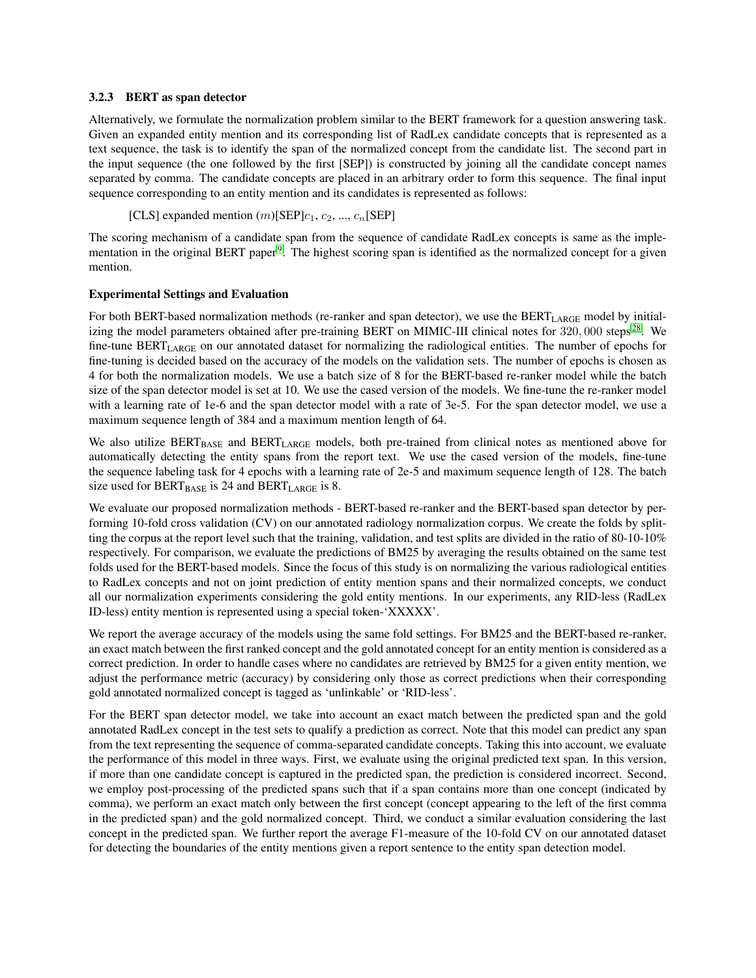### 3.2.3 BERT as span detector

Alternatively, we formulate the normalization problem similar to the BERT framework for a question answering task. Given an expanded entity mention and its corresponding list of RadLex candidate concepts that is represented as a text sequence, the task is to identify the span of the normalized concept from the candidate list. The second part in the input sequence (the one followed by the first [SEP]) is constructed by joining all the candidate concept names separated by comma. The candidate concepts are placed in an arbitrary order to form this sequence. The final input sequence corresponding to an entity mention and its candidates is represented as follows:

[CLS] expanded mention  $(m)[\text{SEP}]c_1, c_2, ..., c_n[\text{SEP}]$ 

The scoring mechanism of a candidate span from the sequence of candidate RadLex concepts is same as the imple-mentation in the original BERT paper<sup>[9](#page-9-4)</sup>. The highest scoring span is identified as the normalized concept for a given mention.

# Experimental Settings and Evaluation

For both BERT-based normalization methods (re-ranker and span detector), we use the BERT<sub>LARGE</sub> model by initial-izing the model parameters obtained after pre-training BERT on MIMIC-III clinical notes for 320,000 steps<sup>[28](#page-9-23)</sup>. We fine-tune BERTLARGE on our annotated dataset for normalizing the radiological entities. The number of epochs for fine-tuning is decided based on the accuracy of the models on the validation sets. The number of epochs is chosen as 4 for both the normalization models. We use a batch size of 8 for the BERT-based re-ranker model while the batch size of the span detector model is set at 10. We use the cased version of the models. We fine-tune the re-ranker model with a learning rate of 1e-6 and the span detector model with a rate of 3e-5. For the span detector model, we use a maximum sequence length of 384 and a maximum mention length of 64.

We also utilize BERT<sub>BASE</sub> and BERT<sub>LARGE</sub> models, both pre-trained from clinical notes as mentioned above for automatically detecting the entity spans from the report text. We use the cased version of the models, fine-tune the sequence labeling task for 4 epochs with a learning rate of 2e-5 and maximum sequence length of 128. The batch size used for  $BERT_{BASE}$  is 24 and  $BERT_{LARGE}$  is 8.

We evaluate our proposed normalization methods - BERT-based re-ranker and the BERT-based span detector by performing 10-fold cross validation (CV) on our annotated radiology normalization corpus. We create the folds by splitting the corpus at the report level such that the training, validation, and test splits are divided in the ratio of 80-10-10% respectively. For comparison, we evaluate the predictions of BM25 by averaging the results obtained on the same test folds used for the BERT-based models. Since the focus of this study is on normalizing the various radiological entities to RadLex concepts and not on joint prediction of entity mention spans and their normalized concepts, we conduct all our normalization experiments considering the gold entity mentions. In our experiments, any RID-less (RadLex ID-less) entity mention is represented using a special token-'XXXXX'.

We report the average accuracy of the models using the same fold settings. For BM25 and the BERT-based re-ranker, an exact match between the first ranked concept and the gold annotated concept for an entity mention is considered as a correct prediction. In order to handle cases where no candidates are retrieved by BM25 for a given entity mention, we adjust the performance metric (accuracy) by considering only those as correct predictions when their corresponding gold annotated normalized concept is tagged as 'unlinkable' or 'RID-less'.

For the BERT span detector model, we take into account an exact match between the predicted span and the gold annotated RadLex concept in the test sets to qualify a prediction as correct. Note that this model can predict any span from the text representing the sequence of comma-separated candidate concepts. Taking this into account, we evaluate the performance of this model in three ways. First, we evaluate using the original predicted text span. In this version, if more than one candidate concept is captured in the predicted span, the prediction is considered incorrect. Second, we employ post-processing of the predicted spans such that if a span contains more than one concept (indicated by comma), we perform an exact match only between the first concept (concept appearing to the left of the first comma in the predicted span) and the gold normalized concept. Third, we conduct a similar evaluation considering the last concept in the predicted span. We further report the average F1-measure of the 10-fold CV on our annotated dataset for detecting the boundaries of the entity mentions given a report sentence to the entity span detection model.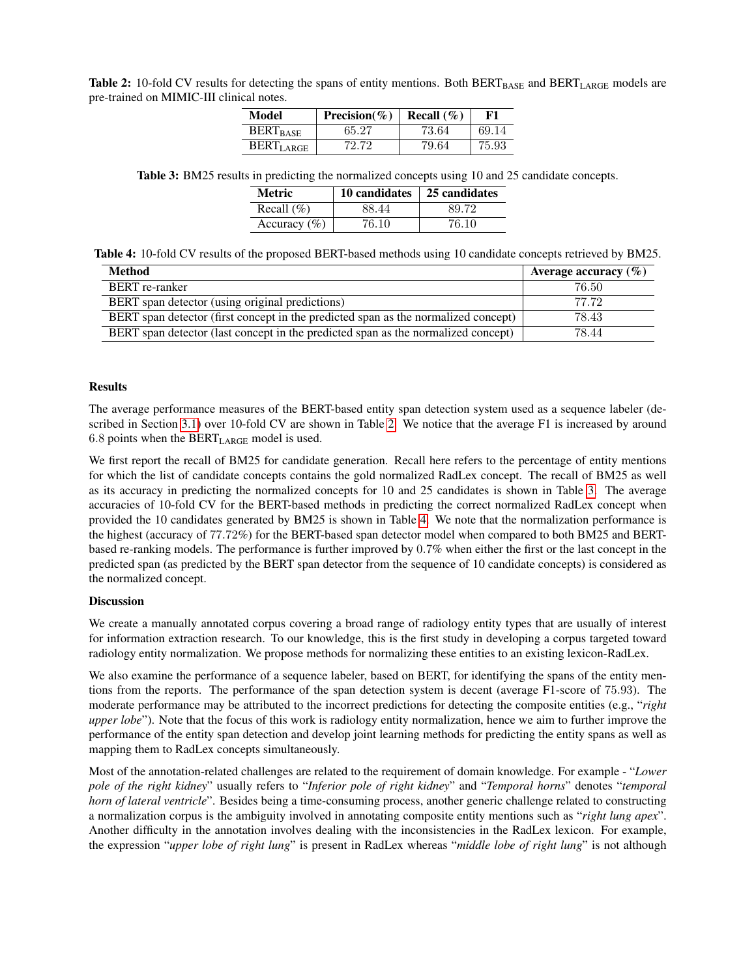<span id="page-7-0"></span>Table 2: 10-fold CV results for detecting the spans of entity mentions. Both  $BERT_{BASE}$  and  $BERT_{LARGE}$  models are pre-trained on MIMIC-III clinical notes.

| Model            | Precision(%) | Recall $(\%)$ | F1    |
|------------------|--------------|---------------|-------|
| <b>BERT</b> RASE | 65.27        | 73.64         | 69.14 |
| <b>BERTLARGE</b> | 72.72        | 79.64         | 75.93 |

<span id="page-7-1"></span>Table 3: BM25 results in predicting the normalized concepts using 10 and 25 candidate concepts.

| Metric          |       | 10 candidates $\vert$ 25 candidates |
|-----------------|-------|-------------------------------------|
| Recall $(\% )$  | 88.44 | 89.72                               |
| Accuracy $(\%)$ | 76.10 | 76.10                               |

<span id="page-7-2"></span>Table 4: 10-fold CV results of the proposed BERT-based methods using 10 candidate concepts retrieved by BM25.

| <b>Method</b>                                                                      | Average accuracy $(\% )$ |
|------------------------------------------------------------------------------------|--------------------------|
| <b>BERT</b> re-ranker                                                              | 76.50                    |
| BERT span detector (using original predictions)                                    | 77 72                    |
| BERT span detector (first concept in the predicted span as the normalized concept) | 78.43                    |
| BERT span detector (last concept in the predicted span as the normalized concept)  | 78.44                    |

### Results

The average performance measures of the BERT-based entity span detection system used as a sequence labeler (described in Section [3.1\)](#page-4-1) over 10-fold CV are shown in Table [2.](#page-7-0) We notice that the average F1 is increased by around 6.8 points when the  $BERT_{LARGE}$  model is used.

We first report the recall of BM25 for candidate generation. Recall here refers to the percentage of entity mentions for which the list of candidate concepts contains the gold normalized RadLex concept. The recall of BM25 as well as its accuracy in predicting the normalized concepts for 10 and 25 candidates is shown in Table [3.](#page-7-1) The average accuracies of 10-fold CV for the BERT-based methods in predicting the correct normalized RadLex concept when provided the 10 candidates generated by BM25 is shown in Table [4.](#page-7-2) We note that the normalization performance is the highest (accuracy of 77.72%) for the BERT-based span detector model when compared to both BM25 and BERTbased re-ranking models. The performance is further improved by 0.7% when either the first or the last concept in the predicted span (as predicted by the BERT span detector from the sequence of 10 candidate concepts) is considered as the normalized concept.

### **Discussion**

We create a manually annotated corpus covering a broad range of radiology entity types that are usually of interest for information extraction research. To our knowledge, this is the first study in developing a corpus targeted toward radiology entity normalization. We propose methods for normalizing these entities to an existing lexicon-RadLex.

We also examine the performance of a sequence labeler, based on BERT, for identifying the spans of the entity mentions from the reports. The performance of the span detection system is decent (average F1-score of 75.93). The moderate performance may be attributed to the incorrect predictions for detecting the composite entities (e.g., "*right upper lobe*"). Note that the focus of this work is radiology entity normalization, hence we aim to further improve the performance of the entity span detection and develop joint learning methods for predicting the entity spans as well as mapping them to RadLex concepts simultaneously.

Most of the annotation-related challenges are related to the requirement of domain knowledge. For example - "*Lower pole of the right kidney*" usually refers to "*Inferior pole of right kidney*" and "*Temporal horns*" denotes "*temporal horn of lateral ventricle*". Besides being a time-consuming process, another generic challenge related to constructing a normalization corpus is the ambiguity involved in annotating composite entity mentions such as "*right lung apex*". Another difficulty in the annotation involves dealing with the inconsistencies in the RadLex lexicon. For example, the expression "*upper lobe of right lung*" is present in RadLex whereas "*middle lobe of right lung*" is not although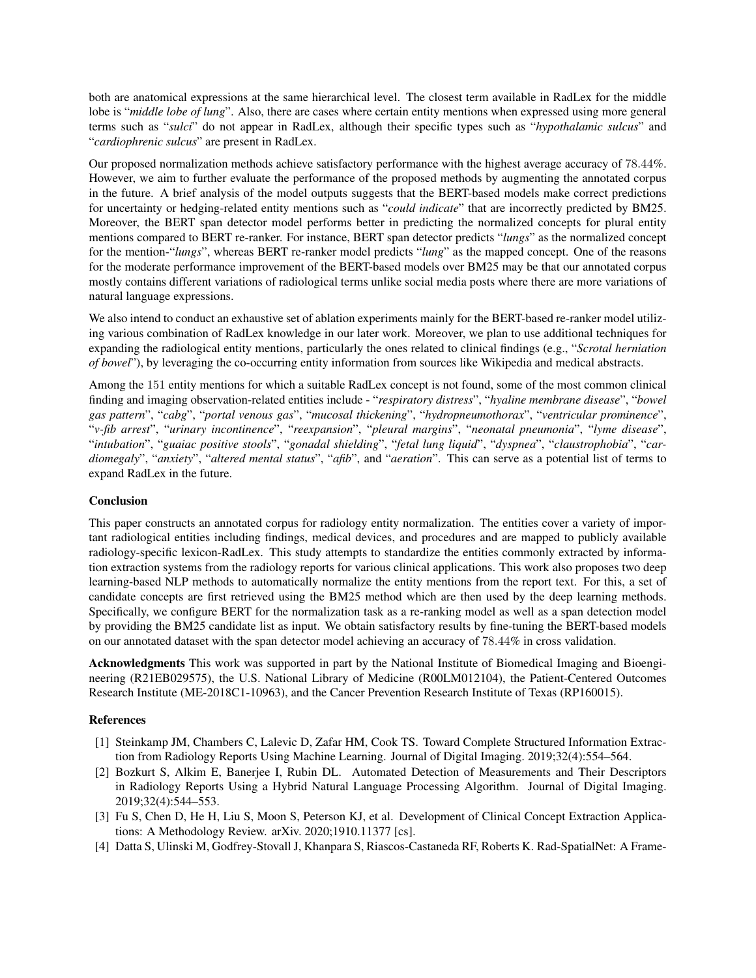both are anatomical expressions at the same hierarchical level. The closest term available in RadLex for the middle lobe is "*middle lobe of lung*". Also, there are cases where certain entity mentions when expressed using more general terms such as "*sulci*" do not appear in RadLex, although their specific types such as "*hypothalamic sulcus*" and "*cardiophrenic sulcus*" are present in RadLex.

Our proposed normalization methods achieve satisfactory performance with the highest average accuracy of 78.44%. However, we aim to further evaluate the performance of the proposed methods by augmenting the annotated corpus in the future. A brief analysis of the model outputs suggests that the BERT-based models make correct predictions for uncertainty or hedging-related entity mentions such as "*could indicate*" that are incorrectly predicted by BM25. Moreover, the BERT span detector model performs better in predicting the normalized concepts for plural entity mentions compared to BERT re-ranker. For instance, BERT span detector predicts "*lungs*" as the normalized concept for the mention-"*lungs*", whereas BERT re-ranker model predicts "*lung*" as the mapped concept. One of the reasons for the moderate performance improvement of the BERT-based models over BM25 may be that our annotated corpus mostly contains different variations of radiological terms unlike social media posts where there are more variations of natural language expressions.

We also intend to conduct an exhaustive set of ablation experiments mainly for the BERT-based re-ranker model utilizing various combination of RadLex knowledge in our later work. Moreover, we plan to use additional techniques for expanding the radiological entity mentions, particularly the ones related to clinical findings (e.g., "*Scrotal herniation of bowel*"), by leveraging the co-occurring entity information from sources like Wikipedia and medical abstracts.

Among the 151 entity mentions for which a suitable RadLex concept is not found, some of the most common clinical finding and imaging observation-related entities include - "*respiratory distress*", "*hyaline membrane disease*", "*bowel gas pattern*", "*cabg*", "*portal venous gas*", "*mucosal thickening*", "*hydropneumothorax*", "*ventricular prominence*", "*v-fib arrest*", "*urinary incontinence*", "*reexpansion*", "*pleural margins*", "*neonatal pneumonia*", "*lyme disease*", "*intubation*", "*guaiac positive stools*", "*gonadal shielding*", "*fetal lung liquid*", "*dyspnea*", "*claustrophobia*", "*cardiomegaly*", "*anxiety*", "*altered mental status*", "*afib*", and "*aeration*". This can serve as a potential list of terms to expand RadLex in the future.

# **Conclusion**

This paper constructs an annotated corpus for radiology entity normalization. The entities cover a variety of important radiological entities including findings, medical devices, and procedures and are mapped to publicly available radiology-specific lexicon-RadLex. This study attempts to standardize the entities commonly extracted by information extraction systems from the radiology reports for various clinical applications. This work also proposes two deep learning-based NLP methods to automatically normalize the entity mentions from the report text. For this, a set of candidate concepts are first retrieved using the BM25 method which are then used by the deep learning methods. Specifically, we configure BERT for the normalization task as a re-ranking model as well as a span detection model by providing the BM25 candidate list as input. We obtain satisfactory results by fine-tuning the BERT-based models on our annotated dataset with the span detector model achieving an accuracy of 78.44% in cross validation.

Acknowledgments This work was supported in part by the National Institute of Biomedical Imaging and Bioengineering (R21EB029575), the U.S. National Library of Medicine (R00LM012104), the Patient-Centered Outcomes Research Institute (ME-2018C1-10963), and the Cancer Prevention Research Institute of Texas (RP160015).

# References

- <span id="page-8-0"></span>[1] Steinkamp JM, Chambers C, Lalevic D, Zafar HM, Cook TS. Toward Complete Structured Information Extraction from Radiology Reports Using Machine Learning. Journal of Digital Imaging. 2019;32(4):554–564.
- <span id="page-8-1"></span>[2] Bozkurt S, Alkim E, Banerjee I, Rubin DL. Automated Detection of Measurements and Their Descriptors in Radiology Reports Using a Hybrid Natural Language Processing Algorithm. Journal of Digital Imaging. 2019;32(4):544–553.
- <span id="page-8-2"></span>[3] Fu S, Chen D, He H, Liu S, Moon S, Peterson KJ, et al. Development of Clinical Concept Extraction Applications: A Methodology Review. arXiv. 2020;1910.11377 [cs].
- <span id="page-8-3"></span>[4] Datta S, Ulinski M, Godfrey-Stovall J, Khanpara S, Riascos-Castaneda RF, Roberts K. Rad-SpatialNet: A Frame-